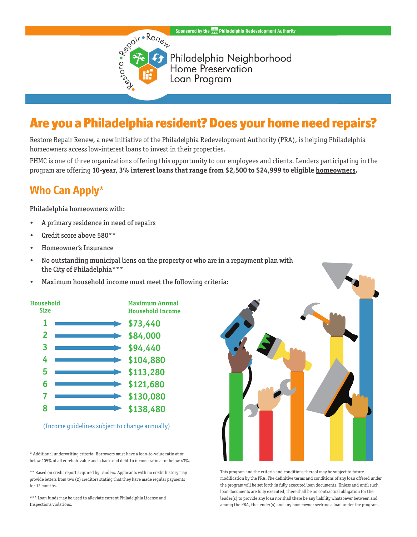#### Sponsored by the **Department Authority** Philadelphia Redevelopment Authority



Philadelphia Neighborhood<br>Home Preservation Loan Program

# Are you a Philadelphia resident? Does your home need repairs?

Restore Repair Renew, a new initiative of the Philadelphia Redevelopment Authority (PRA), is helping Philadelphia homeowners access low-interest loans to invest in their properties.

PHMC is one of three organizations offering this opportunity to our employees and clients. Lenders participating in the program are offering **10-year, 3% interest loans that range from \$2,500 to \$24,999 to eligible homeowners.**

### **Who Can Apply**\*

Philadelphia homeowners with:

- A primary residence in need of repairs
- Credit score above 580\*\*
- Homeowner's Insurance
- No outstanding municipal liens on the property or who are in a repayment plan with the City of Philadelphia\*\*\*
- Maximum household income must meet the following criteria:



(Income guidelines subject to change annually)

\* Additional underwriting criteria: Borrowers must have a loan-to-value ratio at or below 105% of after rehab-value and a back-end debt-to income ratio at or below 43%.

\*\* Based on credit report acquired by Lenders. Applicants with no credit history may provide letters from two (2) creditors stating that they have made regular payments for 12 months.

\*\*\* Loan funds may be used to alleviate current Philadelphia License and Inspections violations.



This program and the criteria and conditions thereof may be subject to future modification by the PRA. The definitive terms and conditions of any loan offered under the program will be set forth in fully executed loan documents. Unless and until such loan documents are fully executed, there shall be no contractual obligation for the lender(s) to provide any loan nor shall there be any liability whatsoever between and among the PRA, the lender(s) and any homeowner seeking a loan under the program.